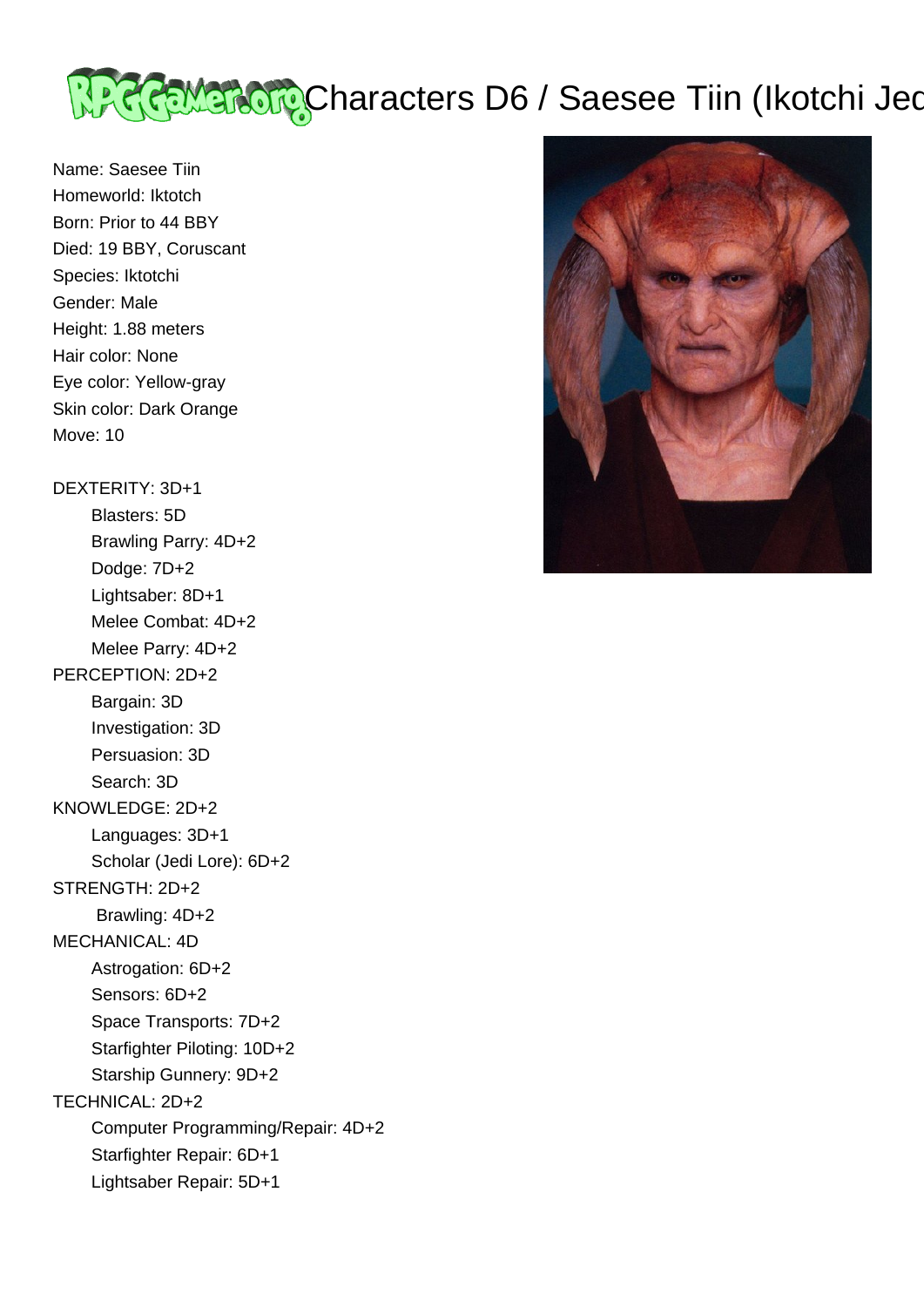

Name: Saesee Tiin Homeworld: Iktotch Born: Prior to 44 BBY Died: 19 BBY, Coruscant Species: Iktotchi Gender: Male Height: 1.88 meters Hair color: None Eye color: Yellow-gray Skin color: Dark Orange Move: 10

DEXTERITY: 3D+1

 Blasters: 5D Brawling Parry: 4D+2 Dodge: 7D+2 Lightsaber: 8D+1 Melee Combat: 4D+2 Melee Parry: 4D+2 PERCEPTION: 2D+2 Bargain: 3D Investigation: 3D Persuasion: 3D Search: 3D KNOWLEDGE: 2D+2 Languages: 3D+1 Scholar (Jedi Lore): 6D+2 STRENGTH: 2D+2 Brawling: 4D+2 MECHANICAL: 4D Astrogation: 6D+2 Sensors: 6D+2 Space Transports: 7D+2 Starfighter Piloting: 10D+2 Starship Gunnery: 9D+2 TECHNICAL: 2D+2 Computer Programming/Repair: 4D+2 Starfighter Repair: 6D+1 Lightsaber Repair: 5D+1

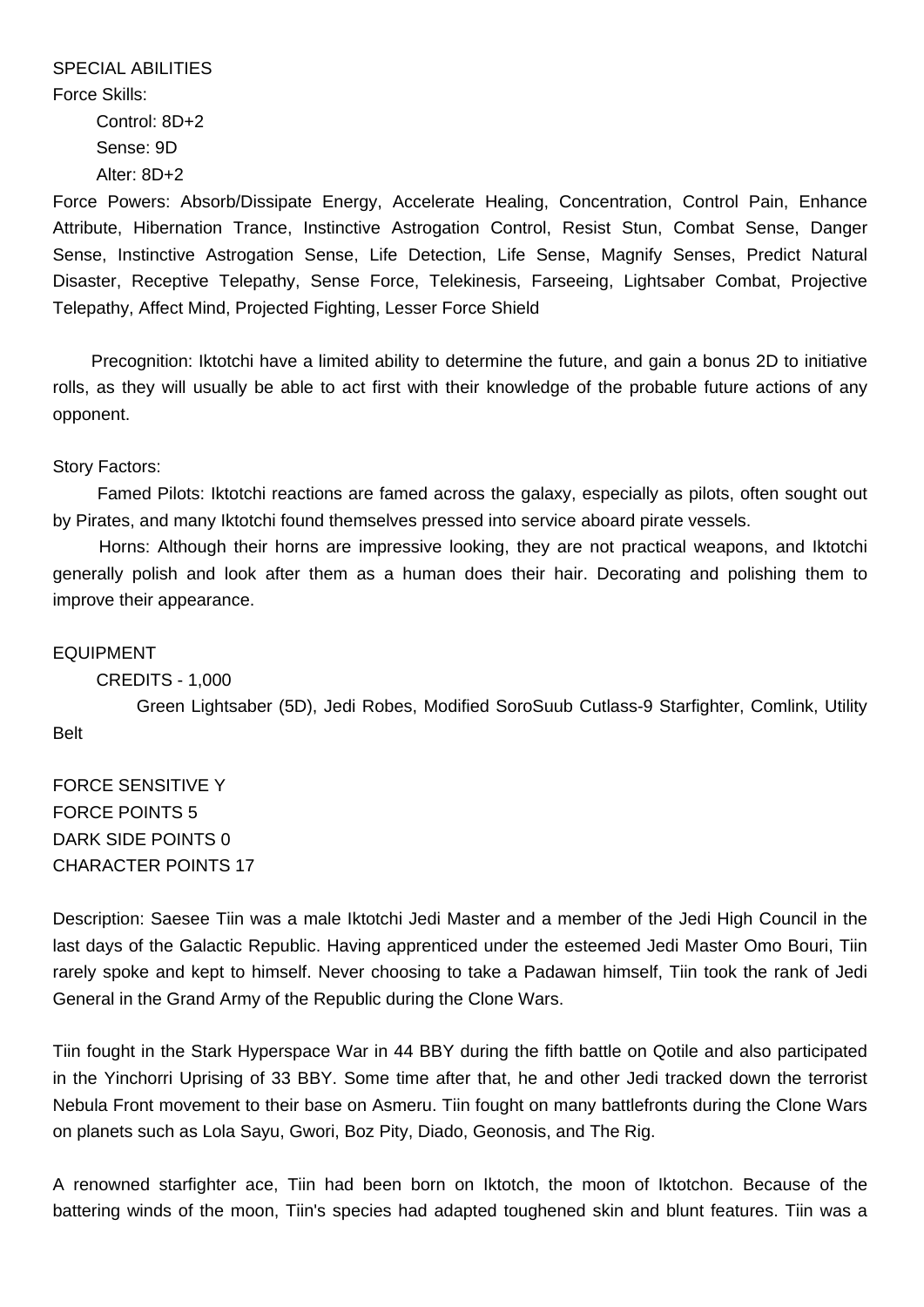SPECIAL ABILITIES Force Skills: Control: 8D+2 Sense: 9D Alter: 8D+2

Force Powers: Absorb/Dissipate Energy, Accelerate Healing, Concentration, Control Pain, Enhance Attribute, Hibernation Trance, Instinctive Astrogation Control, Resist Stun, Combat Sense, Danger Sense, Instinctive Astrogation Sense, Life Detection, Life Sense, Magnify Senses, Predict Natural Disaster, Receptive Telepathy, Sense Force, Telekinesis, Farseeing, Lightsaber Combat, Projective Telepathy, Affect Mind, Projected Fighting, Lesser Force Shield

 Precognition: Iktotchi have a limited ability to determine the future, and gain a bonus 2D to initiative rolls, as they will usually be able to act first with their knowledge of the probable future actions of any opponent.

## Story Factors:

 Famed Pilots: Iktotchi reactions are famed across the galaxy, especially as pilots, often sought out by Pirates, and many Iktotchi found themselves pressed into service aboard pirate vessels.

 Horns: Although their horns are impressive looking, they are not practical weapons, and Iktotchi generally polish and look after them as a human does their hair. Decorating and polishing them to improve their appearance.

#### EQUIPMENT

#### CREDITS - 1,000

 Green Lightsaber (5D), Jedi Robes, Modified SoroSuub Cutlass-9 Starfighter, Comlink, Utility Belt

FORCE SENSITIVE Y FORCE POINTS 5 DARK SIDE POINTS 0 CHARACTER POINTS 17

Description: Saesee Tiin was a male Iktotchi Jedi Master and a member of the Jedi High Council in the last days of the Galactic Republic. Having apprenticed under the esteemed Jedi Master Omo Bouri, Tiin rarely spoke and kept to himself. Never choosing to take a Padawan himself, Tiin took the rank of Jedi General in the Grand Army of the Republic during the Clone Wars.

Tiin fought in the Stark Hyperspace War in 44 BBY during the fifth battle on Qotile and also participated in the Yinchorri Uprising of 33 BBY. Some time after that, he and other Jedi tracked down the terrorist Nebula Front movement to their base on Asmeru. Tiin fought on many battlefronts during the Clone Wars on planets such as Lola Sayu, Gwori, Boz Pity, Diado, Geonosis, and The Rig.

A renowned starfighter ace, Tiin had been born on Iktotch, the moon of Iktotchon. Because of the battering winds of the moon, Tiin's species had adapted toughened skin and blunt features. Tiin was a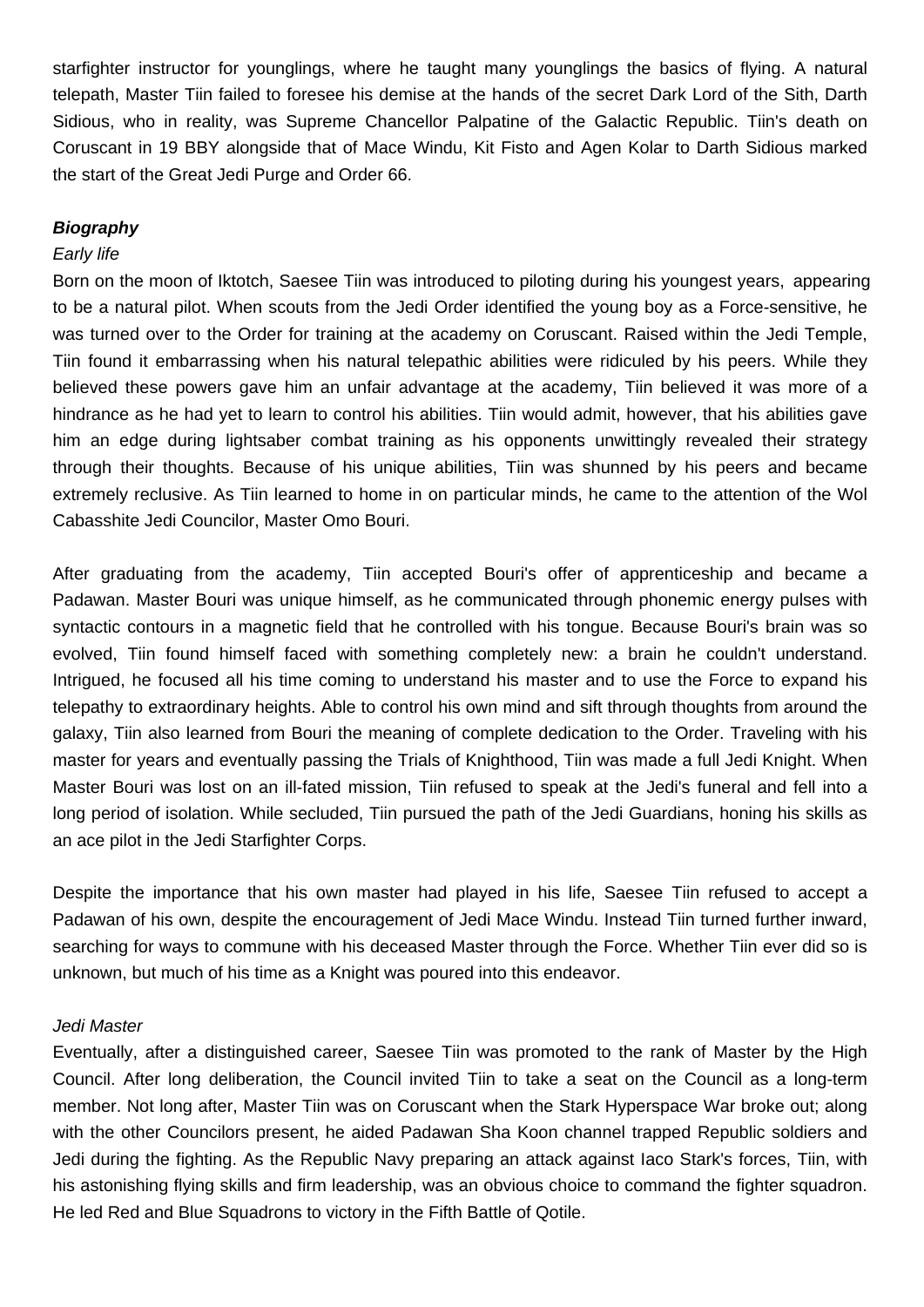starfighter instructor for younglings, where he taught many younglings the basics of flying. A natural telepath, Master Tiin failed to foresee his demise at the hands of the secret Dark Lord of the Sith, Darth Sidious, who in reality, was Supreme Chancellor Palpatine of the Galactic Republic. Tiin's death on Coruscant in 19 BBY alongside that of Mace Windu, Kit Fisto and Agen Kolar to Darth Sidious marked the start of the Great Jedi Purge and Order 66.

## **Biography**

#### Early life

Born on the moon of Iktotch, Saesee Tiin was introduced to piloting during his youngest years, appearing to be a natural pilot. When scouts from the Jedi Order identified the young boy as a Force-sensitive, he was turned over to the Order for training at the academy on Coruscant. Raised within the Jedi Temple, Tiin found it embarrassing when his natural telepathic abilities were ridiculed by his peers. While they believed these powers gave him an unfair advantage at the academy, Tiin believed it was more of a hindrance as he had yet to learn to control his abilities. Tiin would admit, however, that his abilities gave him an edge during lightsaber combat training as his opponents unwittingly revealed their strategy through their thoughts. Because of his unique abilities, Tiin was shunned by his peers and became extremely reclusive. As Tiin learned to home in on particular minds, he came to the attention of the Wol Cabasshite Jedi Councilor, Master Omo Bouri.

After graduating from the academy, Tiin accepted Bouri's offer of apprenticeship and became a Padawan. Master Bouri was unique himself, as he communicated through phonemic energy pulses with syntactic contours in a magnetic field that he controlled with his tongue. Because Bouri's brain was so evolved, Tiin found himself faced with something completely new: a brain he couldn't understand. Intrigued, he focused all his time coming to understand his master and to use the Force to expand his telepathy to extraordinary heights. Able to control his own mind and sift through thoughts from around the galaxy, Tiin also learned from Bouri the meaning of complete dedication to the Order. Traveling with his master for years and eventually passing the Trials of Knighthood, Tiin was made a full Jedi Knight. When Master Bouri was lost on an ill-fated mission, Tiin refused to speak at the Jedi's funeral and fell into a long period of isolation. While secluded, Tiin pursued the path of the Jedi Guardians, honing his skills as an ace pilot in the Jedi Starfighter Corps.

Despite the importance that his own master had played in his life, Saesee Tiin refused to accept a Padawan of his own, despite the encouragement of Jedi Mace Windu. Instead Tiin turned further inward, searching for ways to commune with his deceased Master through the Force. Whether Tiin ever did so is unknown, but much of his time as a Knight was poured into this endeavor.

#### Jedi Master

Eventually, after a distinguished career, Saesee Tiin was promoted to the rank of Master by the High Council. After long deliberation, the Council invited Tiin to take a seat on the Council as a long-term member. Not long after, Master Tiin was on Coruscant when the Stark Hyperspace War broke out; along with the other Councilors present, he aided Padawan Sha Koon channel trapped Republic soldiers and Jedi during the fighting. As the Republic Navy preparing an attack against Iaco Stark's forces, Tiin, with his astonishing flying skills and firm leadership, was an obvious choice to command the fighter squadron. He led Red and Blue Squadrons to victory in the Fifth Battle of Qotile.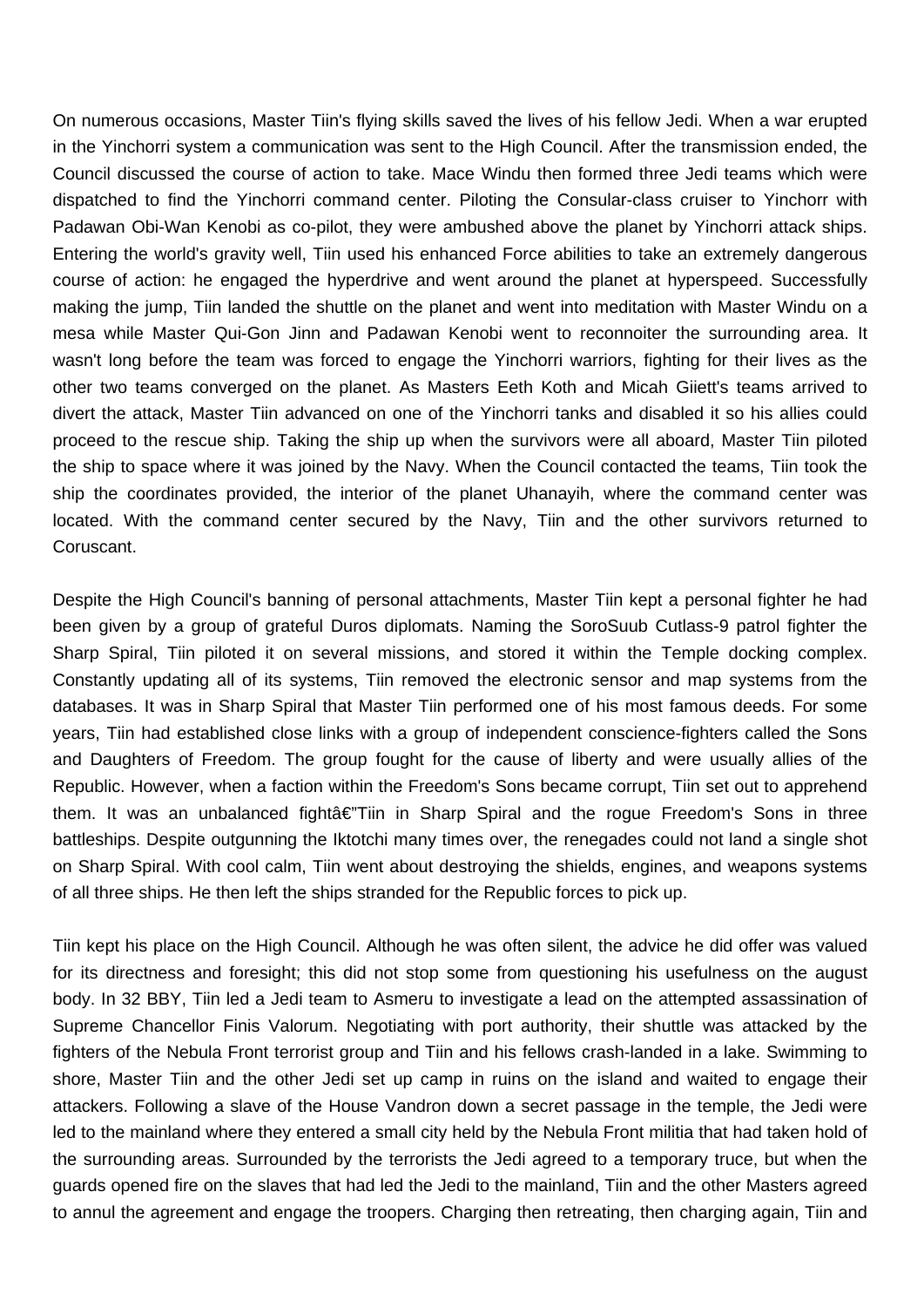On numerous occasions, Master Tiin's flying skills saved the lives of his fellow Jedi. When a war erupted in the Yinchorri system a communication was sent to the High Council. After the transmission ended, the Council discussed the course of action to take. Mace Windu then formed three Jedi teams which were dispatched to find the Yinchorri command center. Piloting the Consular-class cruiser to Yinchorr with Padawan Obi-Wan Kenobi as co-pilot, they were ambushed above the planet by Yinchorri attack ships. Entering the world's gravity well, Tiin used his enhanced Force abilities to take an extremely dangerous course of action: he engaged the hyperdrive and went around the planet at hyperspeed. Successfully making the jump, Tiin landed the shuttle on the planet and went into meditation with Master Windu on a mesa while Master Qui-Gon Jinn and Padawan Kenobi went to reconnoiter the surrounding area. It wasn't long before the team was forced to engage the Yinchorri warriors, fighting for their lives as the other two teams converged on the planet. As Masters Eeth Koth and Micah Giiett's teams arrived to divert the attack, Master Tiin advanced on one of the Yinchorri tanks and disabled it so his allies could proceed to the rescue ship. Taking the ship up when the survivors were all aboard, Master Tiin piloted the ship to space where it was joined by the Navy. When the Council contacted the teams, Tiin took the ship the coordinates provided, the interior of the planet Uhanayih, where the command center was located. With the command center secured by the Navy, Tiin and the other survivors returned to Coruscant.

Despite the High Council's banning of personal attachments, Master Tiin kept a personal fighter he had been given by a group of grateful Duros diplomats. Naming the SoroSuub Cutlass-9 patrol fighter the Sharp Spiral, Tiin piloted it on several missions, and stored it within the Temple docking complex. Constantly updating all of its systems, Tiin removed the electronic sensor and map systems from the databases. It was in Sharp Spiral that Master Tiin performed one of his most famous deeds. For some years, Tiin had established close links with a group of independent conscience-fighters called the Sons and Daughters of Freedom. The group fought for the cause of liberty and were usually allies of the Republic. However, when a faction within the Freedom's Sons became corrupt, Tiin set out to apprehend them. It was an unbalanced fightâ€"Tiin in Sharp Spiral and the rogue Freedom's Sons in three battleships. Despite outgunning the Iktotchi many times over, the renegades could not land a single shot on Sharp Spiral. With cool calm, Tiin went about destroying the shields, engines, and weapons systems of all three ships. He then left the ships stranded for the Republic forces to pick up.

Tiin kept his place on the High Council. Although he was often silent, the advice he did offer was valued for its directness and foresight; this did not stop some from questioning his usefulness on the august body. In 32 BBY, Tiin led a Jedi team to Asmeru to investigate a lead on the attempted assassination of Supreme Chancellor Finis Valorum. Negotiating with port authority, their shuttle was attacked by the fighters of the Nebula Front terrorist group and Tiin and his fellows crash-landed in a lake. Swimming to shore, Master Tiin and the other Jedi set up camp in ruins on the island and waited to engage their attackers. Following a slave of the House Vandron down a secret passage in the temple, the Jedi were led to the mainland where they entered a small city held by the Nebula Front militia that had taken hold of the surrounding areas. Surrounded by the terrorists the Jedi agreed to a temporary truce, but when the guards opened fire on the slaves that had led the Jedi to the mainland, Tiin and the other Masters agreed to annul the agreement and engage the troopers. Charging then retreating, then charging again, Tiin and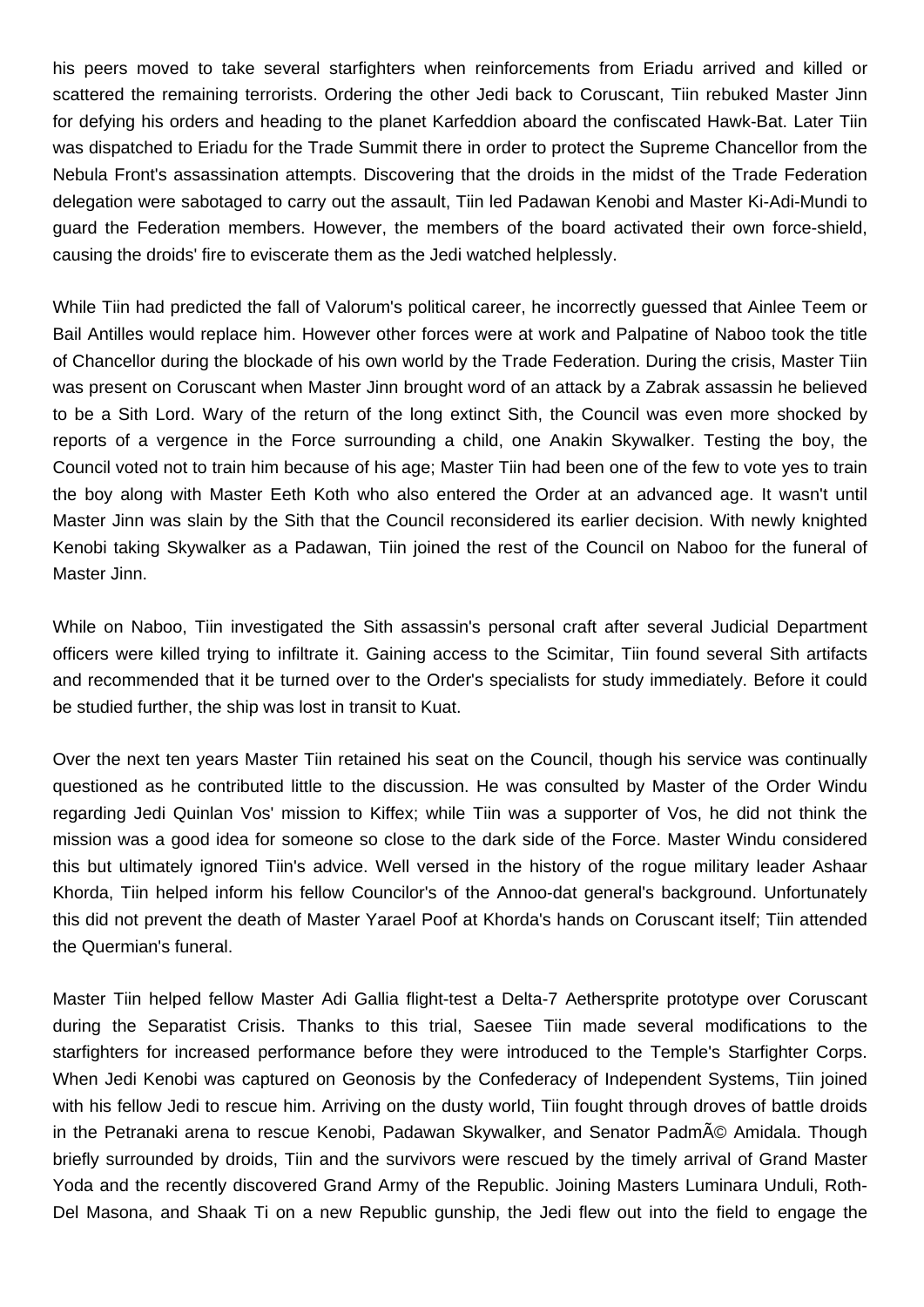his peers moved to take several starfighters when reinforcements from Eriadu arrived and killed or scattered the remaining terrorists. Ordering the other Jedi back to Coruscant, Tiin rebuked Master Jinn for defying his orders and heading to the planet Karfeddion aboard the confiscated Hawk-Bat. Later Tiin was dispatched to Eriadu for the Trade Summit there in order to protect the Supreme Chancellor from the Nebula Front's assassination attempts. Discovering that the droids in the midst of the Trade Federation delegation were sabotaged to carry out the assault, Tiin led Padawan Kenobi and Master Ki-Adi-Mundi to guard the Federation members. However, the members of the board activated their own force-shield, causing the droids' fire to eviscerate them as the Jedi watched helplessly.

While Tiin had predicted the fall of Valorum's political career, he incorrectly guessed that Ainlee Teem or Bail Antilles would replace him. However other forces were at work and Palpatine of Naboo took the title of Chancellor during the blockade of his own world by the Trade Federation. During the crisis, Master Tiin was present on Coruscant when Master Jinn brought word of an attack by a Zabrak assassin he believed to be a Sith Lord. Wary of the return of the long extinct Sith, the Council was even more shocked by reports of a vergence in the Force surrounding a child, one Anakin Skywalker. Testing the boy, the Council voted not to train him because of his age; Master Tiin had been one of the few to vote yes to train the boy along with Master Eeth Koth who also entered the Order at an advanced age. It wasn't until Master Jinn was slain by the Sith that the Council reconsidered its earlier decision. With newly knighted Kenobi taking Skywalker as a Padawan, Tiin joined the rest of the Council on Naboo for the funeral of Master Jinn.

While on Naboo, Tiin investigated the Sith assassin's personal craft after several Judicial Department officers were killed trying to infiltrate it. Gaining access to the Scimitar, Tiin found several Sith artifacts and recommended that it be turned over to the Order's specialists for study immediately. Before it could be studied further, the ship was lost in transit to Kuat.

Over the next ten years Master Tiin retained his seat on the Council, though his service was continually questioned as he contributed little to the discussion. He was consulted by Master of the Order Windu regarding Jedi Quinlan Vos' mission to Kiffex; while Tiin was a supporter of Vos, he did not think the mission was a good idea for someone so close to the dark side of the Force. Master Windu considered this but ultimately ignored Tiin's advice. Well versed in the history of the rogue military leader Ashaar Khorda, Tiin helped inform his fellow Councilor's of the Annoo-dat general's background. Unfortunately this did not prevent the death of Master Yarael Poof at Khorda's hands on Coruscant itself; Tiin attended the Quermian's funeral.

Master Tiin helped fellow Master Adi Gallia flight-test a Delta-7 Aethersprite prototype over Coruscant during the Separatist Crisis. Thanks to this trial, Saesee Tiin made several modifications to the starfighters for increased performance before they were introduced to the Temple's Starfighter Corps. When Jedi Kenobi was captured on Geonosis by the Confederacy of Independent Systems, Tiin joined with his fellow Jedi to rescue him. Arriving on the dusty world, Tiin fought through droves of battle droids in the Petranaki arena to rescue Kenobi, Padawan Skywalker, and Senator Padmé Amidala. Though briefly surrounded by droids, Tiin and the survivors were rescued by the timely arrival of Grand Master Yoda and the recently discovered Grand Army of the Republic. Joining Masters Luminara Unduli, Roth-Del Masona, and Shaak Ti on a new Republic gunship, the Jedi flew out into the field to engage the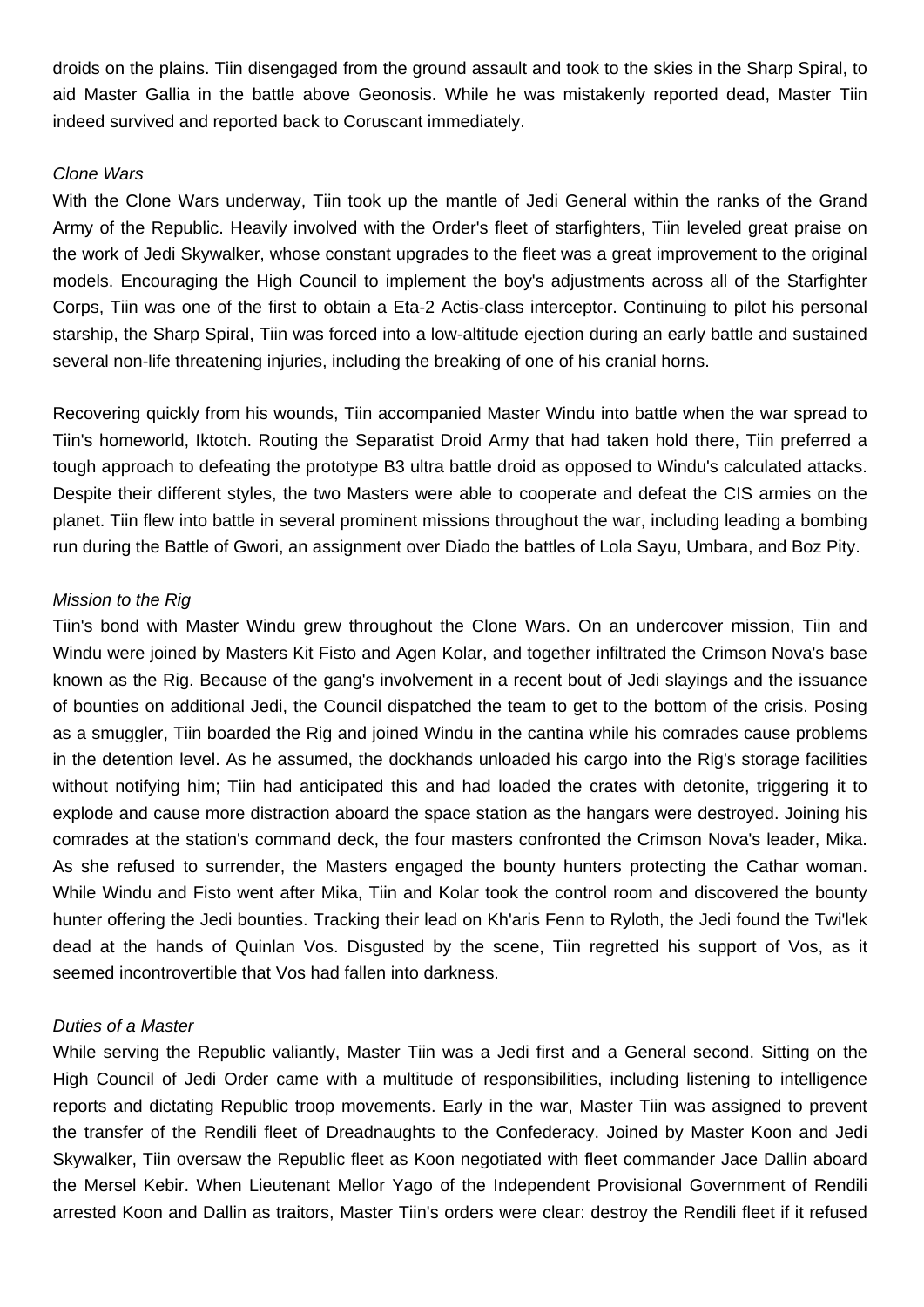droids on the plains. Tiin disengaged from the ground assault and took to the skies in the Sharp Spiral, to aid Master Gallia in the battle above Geonosis. While he was mistakenly reported dead, Master Tiin indeed survived and reported back to Coruscant immediately.

## Clone Wars

With the Clone Wars underway, Tiin took up the mantle of Jedi General within the ranks of the Grand Army of the Republic. Heavily involved with the Order's fleet of starfighters, Tiin leveled great praise on the work of Jedi Skywalker, whose constant upgrades to the fleet was a great improvement to the original models. Encouraging the High Council to implement the boy's adjustments across all of the Starfighter Corps, Tiin was one of the first to obtain a Eta-2 Actis-class interceptor. Continuing to pilot his personal starship, the Sharp Spiral, Tiin was forced into a low-altitude ejection during an early battle and sustained several non-life threatening injuries, including the breaking of one of his cranial horns.

Recovering quickly from his wounds, Tiin accompanied Master Windu into battle when the war spread to Tiin's homeworld, Iktotch. Routing the Separatist Droid Army that had taken hold there, Tiin preferred a tough approach to defeating the prototype B3 ultra battle droid as opposed to Windu's calculated attacks. Despite their different styles, the two Masters were able to cooperate and defeat the CIS armies on the planet. Tiin flew into battle in several prominent missions throughout the war, including leading a bombing run during the Battle of Gwori, an assignment over Diado the battles of Lola Sayu, Umbara, and Boz Pity.

## Mission to the Rig

Tiin's bond with Master Windu grew throughout the Clone Wars. On an undercover mission, Tiin and Windu were joined by Masters Kit Fisto and Agen Kolar, and together infiltrated the Crimson Nova's base known as the Rig. Because of the gang's involvement in a recent bout of Jedi slayings and the issuance of bounties on additional Jedi, the Council dispatched the team to get to the bottom of the crisis. Posing as a smuggler, Tiin boarded the Rig and joined Windu in the cantina while his comrades cause problems in the detention level. As he assumed, the dockhands unloaded his cargo into the Rig's storage facilities without notifying him; Tiin had anticipated this and had loaded the crates with detonite, triggering it to explode and cause more distraction aboard the space station as the hangars were destroyed. Joining his comrades at the station's command deck, the four masters confronted the Crimson Nova's leader, Mika. As she refused to surrender, the Masters engaged the bounty hunters protecting the Cathar woman. While Windu and Fisto went after Mika, Tiin and Kolar took the control room and discovered the bounty hunter offering the Jedi bounties. Tracking their lead on Kh'aris Fenn to Ryloth, the Jedi found the Twi'lek dead at the hands of Quinlan Vos. Disgusted by the scene, Tiin regretted his support of Vos, as it seemed incontrovertible that Vos had fallen into darkness.

## Duties of a Master

While serving the Republic valiantly, Master Tiin was a Jedi first and a General second. Sitting on the High Council of Jedi Order came with a multitude of responsibilities, including listening to intelligence reports and dictating Republic troop movements. Early in the war, Master Tiin was assigned to prevent the transfer of the Rendili fleet of Dreadnaughts to the Confederacy. Joined by Master Koon and Jedi Skywalker, Tiin oversaw the Republic fleet as Koon negotiated with fleet commander Jace Dallin aboard the Mersel Kebir. When Lieutenant Mellor Yago of the Independent Provisional Government of Rendili arrested Koon and Dallin as traitors, Master Tiin's orders were clear: destroy the Rendili fleet if it refused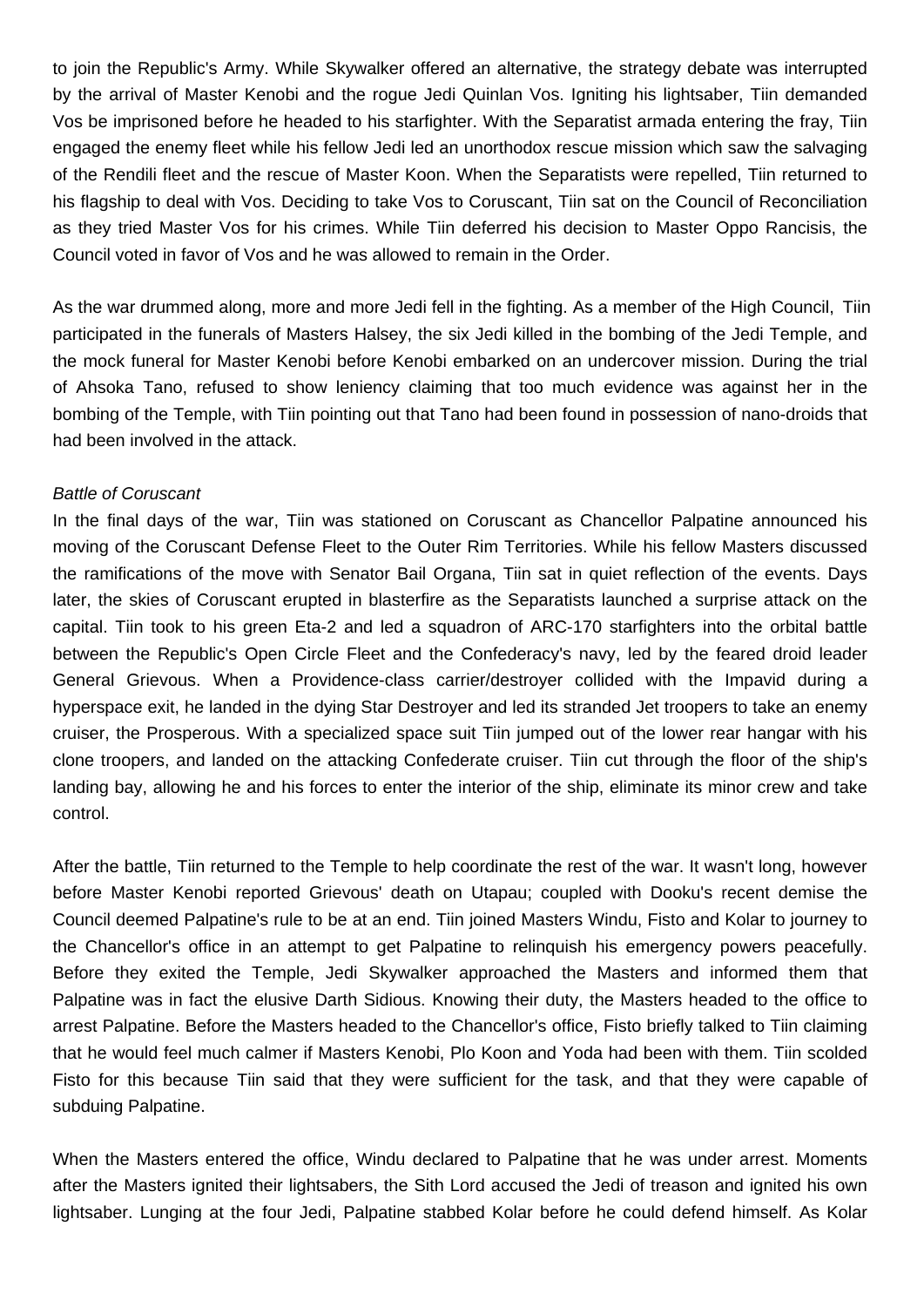to join the Republic's Army. While Skywalker offered an alternative, the strategy debate was interrupted by the arrival of Master Kenobi and the rogue Jedi Quinlan Vos. Igniting his lightsaber, Tiin demanded Vos be imprisoned before he headed to his starfighter. With the Separatist armada entering the fray, Tiin engaged the enemy fleet while his fellow Jedi led an unorthodox rescue mission which saw the salvaging of the Rendili fleet and the rescue of Master Koon. When the Separatists were repelled, Tiin returned to his flagship to deal with Vos. Deciding to take Vos to Coruscant, Tiin sat on the Council of Reconciliation as they tried Master Vos for his crimes. While Tiin deferred his decision to Master Oppo Rancisis, the Council voted in favor of Vos and he was allowed to remain in the Order.

As the war drummed along, more and more Jedi fell in the fighting. As a member of the High Council, Tiin participated in the funerals of Masters Halsey, the six Jedi killed in the bombing of the Jedi Temple, and the mock funeral for Master Kenobi before Kenobi embarked on an undercover mission. During the trial of Ahsoka Tano, refused to show leniency claiming that too much evidence was against her in the bombing of the Temple, with Tiin pointing out that Tano had been found in possession of nano-droids that had been involved in the attack.

## Battle of Coruscant

In the final days of the war, Tiin was stationed on Coruscant as Chancellor Palpatine announced his moving of the Coruscant Defense Fleet to the Outer Rim Territories. While his fellow Masters discussed the ramifications of the move with Senator Bail Organa, Tiin sat in quiet reflection of the events. Days later, the skies of Coruscant erupted in blasterfire as the Separatists launched a surprise attack on the capital. Tiin took to his green Eta-2 and led a squadron of ARC-170 starfighters into the orbital battle between the Republic's Open Circle Fleet and the Confederacy's navy, led by the feared droid leader General Grievous. When a Providence-class carrier/destroyer collided with the Impavid during a hyperspace exit, he landed in the dying Star Destroyer and led its stranded Jet troopers to take an enemy cruiser, the Prosperous. With a specialized space suit Tiin jumped out of the lower rear hangar with his clone troopers, and landed on the attacking Confederate cruiser. Tiin cut through the floor of the ship's landing bay, allowing he and his forces to enter the interior of the ship, eliminate its minor crew and take control.

After the battle, Tiin returned to the Temple to help coordinate the rest of the war. It wasn't long, however before Master Kenobi reported Grievous' death on Utapau; coupled with Dooku's recent demise the Council deemed Palpatine's rule to be at an end. Tiin joined Masters Windu, Fisto and Kolar to journey to the Chancellor's office in an attempt to get Palpatine to relinquish his emergency powers peacefully. Before they exited the Temple, Jedi Skywalker approached the Masters and informed them that Palpatine was in fact the elusive Darth Sidious. Knowing their duty, the Masters headed to the office to arrest Palpatine. Before the Masters headed to the Chancellor's office, Fisto briefly talked to Tiin claiming that he would feel much calmer if Masters Kenobi, Plo Koon and Yoda had been with them. Tiin scolded Fisto for this because Tiin said that they were sufficient for the task, and that they were capable of subduing Palpatine.

When the Masters entered the office, Windu declared to Palpatine that he was under arrest. Moments after the Masters ignited their lightsabers, the Sith Lord accused the Jedi of treason and ignited his own lightsaber. Lunging at the four Jedi, Palpatine stabbed Kolar before he could defend himself. As Kolar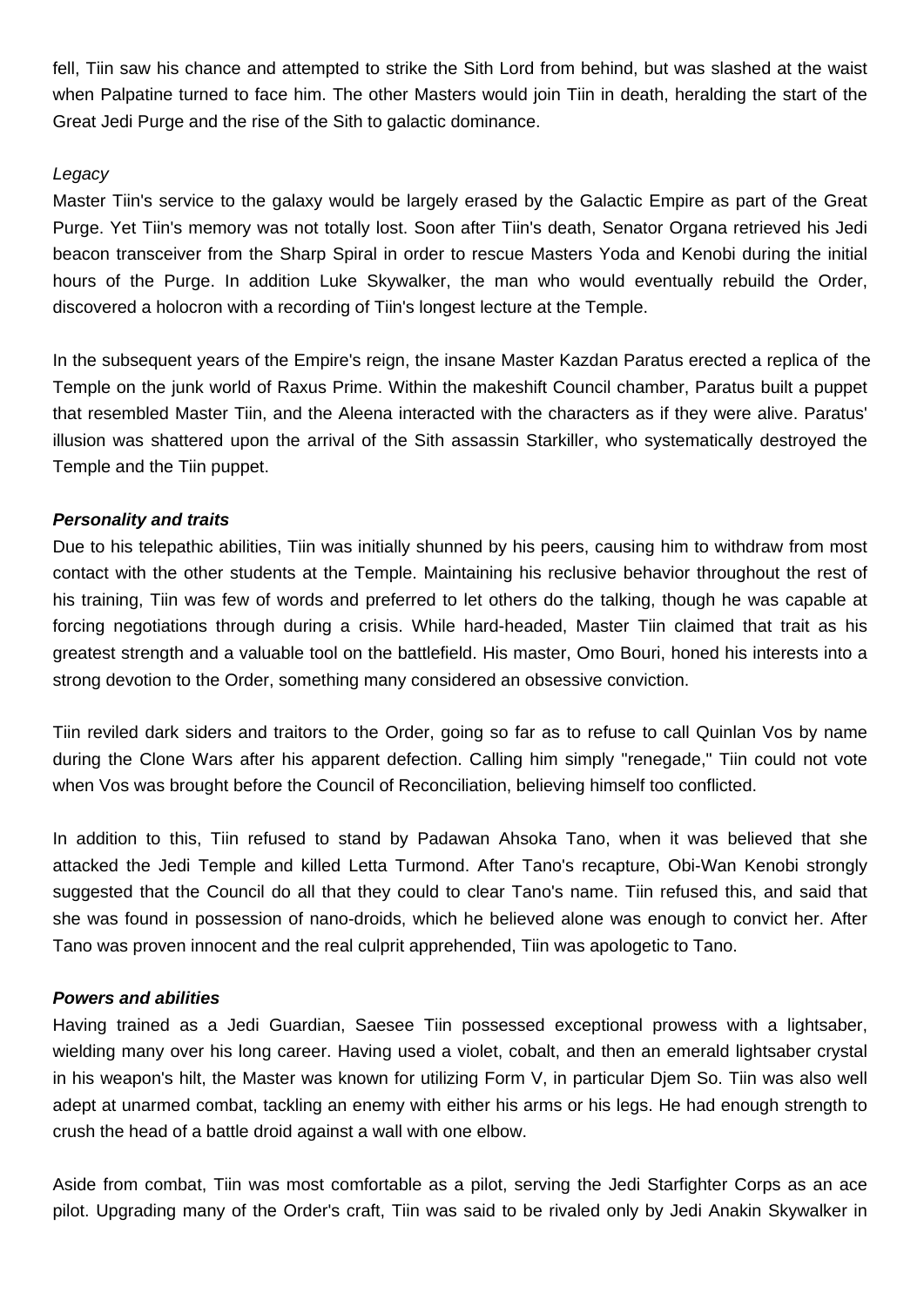fell, Tiin saw his chance and attempted to strike the Sith Lord from behind, but was slashed at the waist when Palpatine turned to face him. The other Masters would join Tiin in death, heralding the start of the Great Jedi Purge and the rise of the Sith to galactic dominance.

# Legacy

Master Tiin's service to the galaxy would be largely erased by the Galactic Empire as part of the Great Purge. Yet Tiin's memory was not totally lost. Soon after Tiin's death, Senator Organa retrieved his Jedi beacon transceiver from the Sharp Spiral in order to rescue Masters Yoda and Kenobi during the initial hours of the Purge. In addition Luke Skywalker, the man who would eventually rebuild the Order, discovered a holocron with a recording of Tiin's longest lecture at the Temple.

In the subsequent years of the Empire's reign, the insane Master Kazdan Paratus erected a replica of the Temple on the junk world of Raxus Prime. Within the makeshift Council chamber, Paratus built a puppet that resembled Master Tiin, and the Aleena interacted with the characters as if they were alive. Paratus' illusion was shattered upon the arrival of the Sith assassin Starkiller, who systematically destroyed the Temple and the Tiin puppet.

# **Personality and traits**

Due to his telepathic abilities, Tiin was initially shunned by his peers, causing him to withdraw from most contact with the other students at the Temple. Maintaining his reclusive behavior throughout the rest of his training, Tiin was few of words and preferred to let others do the talking, though he was capable at forcing negotiations through during a crisis. While hard-headed, Master Tiin claimed that trait as his greatest strength and a valuable tool on the battlefield. His master, Omo Bouri, honed his interests into a strong devotion to the Order, something many considered an obsessive conviction.

Tiin reviled dark siders and traitors to the Order, going so far as to refuse to call Quinlan Vos by name during the Clone Wars after his apparent defection. Calling him simply "renegade," Tiin could not vote when Vos was brought before the Council of Reconciliation, believing himself too conflicted.

In addition to this, Tiin refused to stand by Padawan Ahsoka Tano, when it was believed that she attacked the Jedi Temple and killed Letta Turmond. After Tano's recapture, Obi-Wan Kenobi strongly suggested that the Council do all that they could to clear Tano's name. Tiin refused this, and said that she was found in possession of nano-droids, which he believed alone was enough to convict her. After Tano was proven innocent and the real culprit apprehended, Tiin was apologetic to Tano.

# **Powers and abilities**

Having trained as a Jedi Guardian, Saesee Tiin possessed exceptional prowess with a lightsaber, wielding many over his long career. Having used a violet, cobalt, and then an emerald lightsaber crystal in his weapon's hilt, the Master was known for utilizing Form V, in particular Djem So. Tiin was also well adept at unarmed combat, tackling an enemy with either his arms or his legs. He had enough strength to crush the head of a battle droid against a wall with one elbow.

Aside from combat, Tiin was most comfortable as a pilot, serving the Jedi Starfighter Corps as an ace pilot. Upgrading many of the Order's craft, Tiin was said to be rivaled only by Jedi Anakin Skywalker in